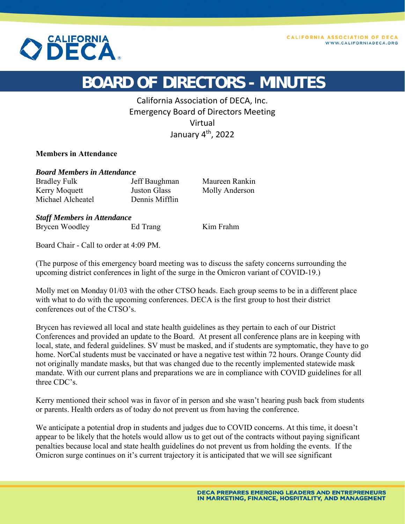

## **BOARD OF DIRECTORS - MINUTES**

California Association of DECA, Inc. Emergency Board of Directors Meeting Virtual January 4<sup>th</sup>, 2022

## **Members in Attendance**

*Board Members in Attendance* 

Bradley Fulk Jeff Baughman Maureen Rankin Kerry Moquett **Iuston Glass** Molly Anderson Michael Alcheatel Dennis Mifflin

*Staff Members in Attendance*  Brycen Woodley Ed Trang Kim Frahm

Board Chair - Call to order at 4:09 PM.

(The purpose of this emergency board meeting was to discuss the safety concerns surrounding the upcoming district conferences in light of the surge in the Omicron variant of COVID-19.)

Molly met on Monday 01/03 with the other CTSO heads. Each group seems to be in a different place with what to do with the upcoming conferences. DECA is the first group to host their district conferences out of the CTSO's.

Brycen has reviewed all local and state health guidelines as they pertain to each of our District Conferences and provided an update to the Board. At present all conference plans are in keeping with local, state, and federal guidelines. SV must be masked, and if students are symptomatic, they have to go home. NorCal students must be vaccinated or have a negative test within 72 hours. Orange County did not originally mandate masks, but that was changed due to the recently implemented statewide mask mandate. With our current plans and preparations we are in compliance with COVID guidelines for all three CDC's.

Kerry mentioned their school was in favor of in person and she wasn't hearing push back from students or parents. Health orders as of today do not prevent us from having the conference.

We anticipate a potential drop in students and judges due to COVID concerns. At this time, it doesn't appear to be likely that the hotels would allow us to get out of the contracts without paying significant penalties because local and state health guidelines do not prevent us from holding the events. If the Omicron surge continues on it's current trajectory it is anticipated that we will see significant